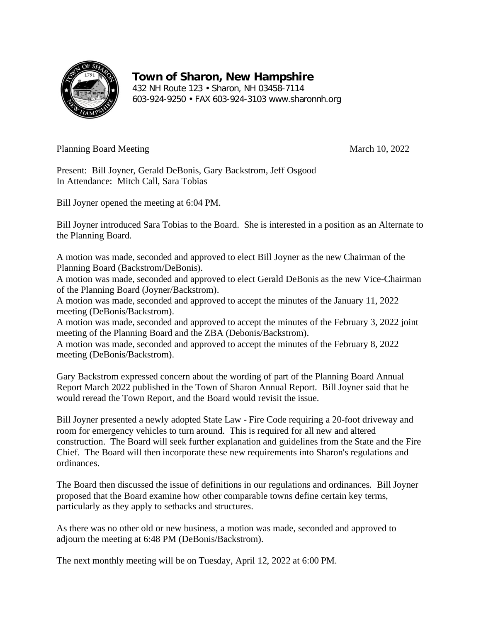

**Town of Sharon, New Hampshire** 432 NH Route 123 • Sharon, NH 03458-7114 603-924-9250 • FAX 603-924-3103 www.sharonnh.org

Planning Board Meeting March 10, 2022

Present: Bill Joyner, Gerald DeBonis, Gary Backstrom, Jeff Osgood In Attendance: Mitch Call, Sara Tobias

Bill Joyner opened the meeting at 6:04 PM.

Bill Joyner introduced Sara Tobias to the Board. She is interested in a position as an Alternate to the Planning Board.

A motion was made, seconded and approved to elect Bill Joyner as the new Chairman of the Planning Board (Backstrom/DeBonis).

A motion was made, seconded and approved to elect Gerald DeBonis as the new Vice-Chairman of the Planning Board (Joyner/Backstrom).

A motion was made, seconded and approved to accept the minutes of the January 11, 2022 meeting (DeBonis/Backstrom).

A motion was made, seconded and approved to accept the minutes of the February 3, 2022 joint meeting of the Planning Board and the ZBA (Debonis/Backstrom).

A motion was made, seconded and approved to accept the minutes of the February 8, 2022 meeting (DeBonis/Backstrom).

Gary Backstrom expressed concern about the wording of part of the Planning Board Annual Report March 2022 published in the Town of Sharon Annual Report. Bill Joyner said that he would reread the Town Report, and the Board would revisit the issue.

Bill Joyner presented a newly adopted State Law - Fire Code requiring a 20-foot driveway and room for emergency vehicles to turn around. This is required for all new and altered construction. The Board will seek further explanation and guidelines from the State and the Fire Chief. The Board will then incorporate these new requirements into Sharon's regulations and ordinances.

The Board then discussed the issue of definitions in our regulations and ordinances. Bill Joyner proposed that the Board examine how other comparable towns define certain key terms, particularly as they apply to setbacks and structures.

As there was no other old or new business, a motion was made, seconded and approved to adjourn the meeting at 6:48 PM (DeBonis/Backstrom).

The next monthly meeting will be on Tuesday, April 12, 2022 at 6:00 PM.